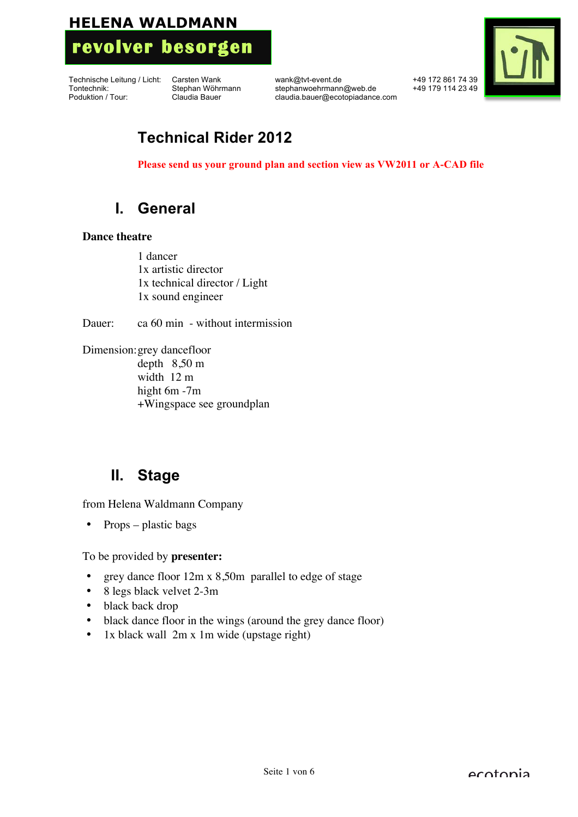

Technische Leitung / Licht: Carsten Wank wank @tvt-event.de +49 172 861 74 39<br>Tontechnik: Stephan Wöhrmann stephanwoehrmann @web.de +49 179 114 23 49 stephanwoehrmann@web.de Poduktion / Tour: Claudia Bauer claudia.bauer@ecotopiadance.com



## **Technical Rider 2012**

**Please send us your ground plan and section view as VW2011 or A-CAD file**

## **I. General**

#### **Dance theatre**

1 dancer 1x artistic director 1x technical director / Light 1x sound engineer

Dauer: ca 60 min - without intermission

Dimension:grey dancefloor depth 8,50 m width 12 m hight 6m -7m +Wingspace see groundplan

## **II. Stage**

from Helena Waldmann Company

• Props – plastic bags

To be provided by **presenter:**

- grey dance floor 12m x 8,50m parallel to edge of stage
- 8 legs black velvet 2-3m
- black back drop
- black dance floor in the wings (around the grey dance floor)
- 1x black wall 2m x 1m wide (upstage right)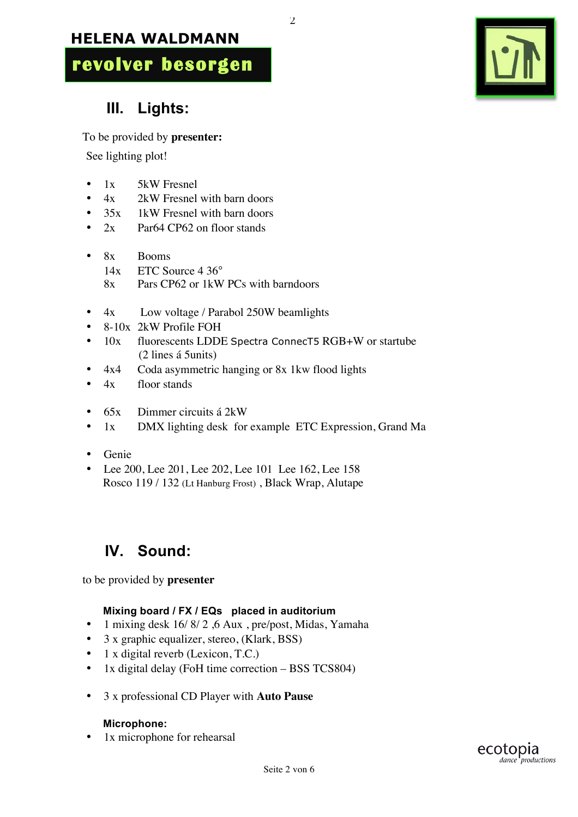**revolver besorgen**

# $\mathbf{T}$

# **III. Lights:**

To be provided by **presenter:**

See lighting plot!

- 1x 5kW Fresnel
- $4x$  2kW Fresnel with barn doors<br>•  $35x$  1kW Fresnel with barn doors
- 1kW Fresnel with barn doors
- 2x Par64 CP62 on floor stands
- 8x Booms 14x ETC Source 4 36° 8x Pars CP62 or 1kW PCs with barndoors
- 4x Low voltage / Parabol 250W beamlights
- 8-10x 2kW Profile FOH
- 10x fluorescents LDDE Spectra ConnecT5 RGB+W or startube (2 lines á 5units)

 $\overline{2}$ 

- 4x4 Coda asymmetric hanging or 8x 1kw flood lights
- 4x floor stands
- 65x Dimmer circuits á 2kW
- 1x DMX lighting desk for example ETC Expression, Grand Ma
- Genie
- Lee 200, Lee 201, Lee 202, Lee 101 Lee 162, Lee 158 Rosco 119 / 132 (Lt Hanburg Frost) , Black Wrap, Alutape

# **IV. Sound:**

to be provided by **presenter**

## **Mixing board / FX / EQs placed in auditorium**

- 1 mixing desk 16/ 8/ 2 ,6 Aux , pre/post, Midas, Yamaha
- 3 x graphic equalizer, stereo, (Klark, BSS)
- 1 x digital reverb (Lexicon, T.C.)
- 1x digital delay (FoH time correction BSS TCS804)
- 3 x professional CD Player with **Auto Pause**

## **Microphone:**

• 1x microphone for rehearsal

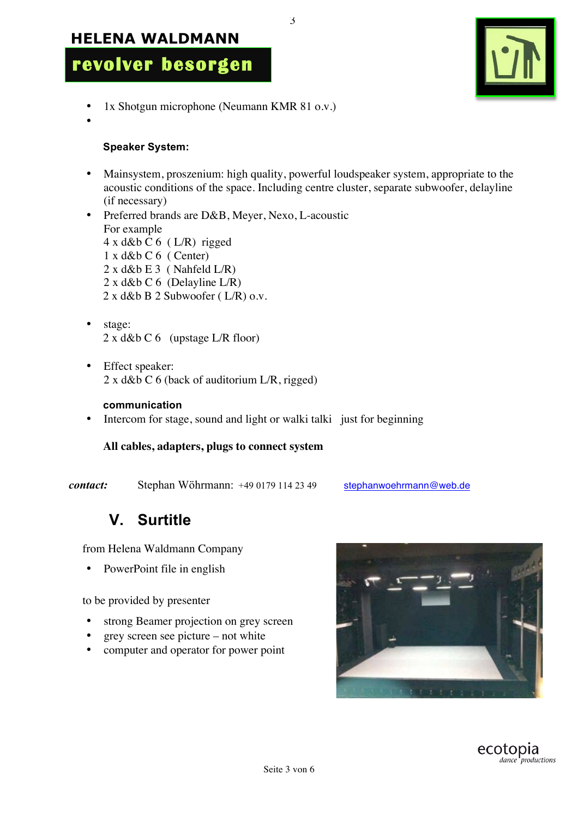

- 1x Shotgun microphone (Neumann KMR 81 o.v.)
- •

#### **Speaker System:**

• Mainsystem, proszenium: high quality, powerful loudspeaker system, appropriate to the acoustic conditions of the space. Including centre cluster, separate subwoofer, delayline (if necessary)

3

- Preferred brands are D&B, Meyer, Nexo, L-acoustic For example  $4 \times d \& b \in 6$  (L/R) rigged  $1 x d$ &b C 6 ( Center)  $2 x d$ &b E 3 ( Nahfeld L/R) 2 x d&b C 6 (Delayline L/R) 2 x d&b B 2 Subwoofer ( L/R) o.v.
- stage: 2 x d&b C 6 (upstage L/R floor)
- Effect speaker: 2 x d&b C 6 (back of auditorium L/R, rigged)

#### **communication**

• Intercom for stage, sound and light or walki talki just for beginning

#### **All cables, adapters, plugs to connect system**

*contact:* Stephan Wöhrmann: +49 0179 114 23 49 stephanwoehrmann@web.de

## **V. Surtitle**

from Helena Waldmann Company

• PowerPoint file in english

to be provided by presenter

- strong Beamer projection on grey screen
- grey screen see picture not white
- computer and operator for power point



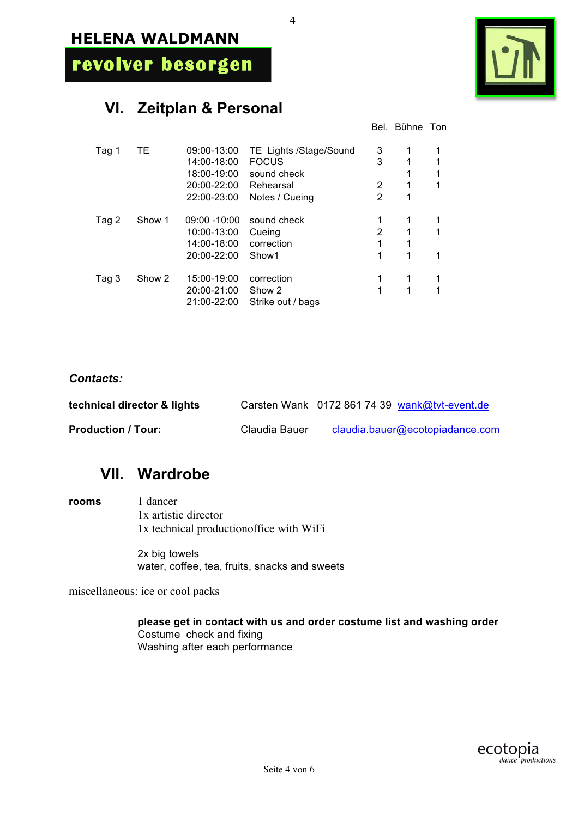**revolver besorgen**

## **VI. Zeitplan & Personal**

|--|

Bel. Bühne Ton

| ТE     | 09:00-13:00     | TE Lights /Stage/Sound     | 3                           |   | 1 |
|--------|-----------------|----------------------------|-----------------------------|---|---|
|        |                 |                            |                             |   | 1 |
|        |                 |                            |                             | 1 | 1 |
|        | 20:00-22:00     | Rehearsal                  | 2                           | 1 | 1 |
|        | 22:00-23:00     | Notes / Cueing             | 2                           | 1 |   |
| Show 1 | $09:00 - 10:00$ | sound check                |                             |   | 1 |
|        | 10:00-13:00     | Cueing                     | 2                           | 1 | 1 |
|        | 14:00-18:00     | correction                 |                             | 1 |   |
|        | 20:00-22:00     | Show1                      |                             | 1 | 1 |
| Show 2 | 15:00-19:00     | correction                 |                             | 1 | 1 |
|        | 20:00-21:00     | Show 2                     | 1                           | 1 | 1 |
|        | 21:00-22:00     | Strike out / bags          |                             |   |   |
|        |                 | 14:00-18:00<br>18:00-19:00 | <b>FOCUS</b><br>sound check | 3 | 1 |

4

#### *Contacts:*

| technical director & lights |               | Carsten Wank 0172 861 74 39 wank@tvt-event.de |
|-----------------------------|---------------|-----------------------------------------------|
| <b>Production / Tour:</b>   | Claudia Bauer | claudia.bauer@ecotopiadance.com               |

## **VII. Wardrobe**

**rooms** 1 dancer 1x artistic director 1x technical productionoffice with WiFi

> 2x big towels water, coffee, tea, fruits, snacks and sweets

miscellaneous: ice or cool packs

**please get in contact with us and order costume list and washing order** Costume check and fixing Washing after each performance

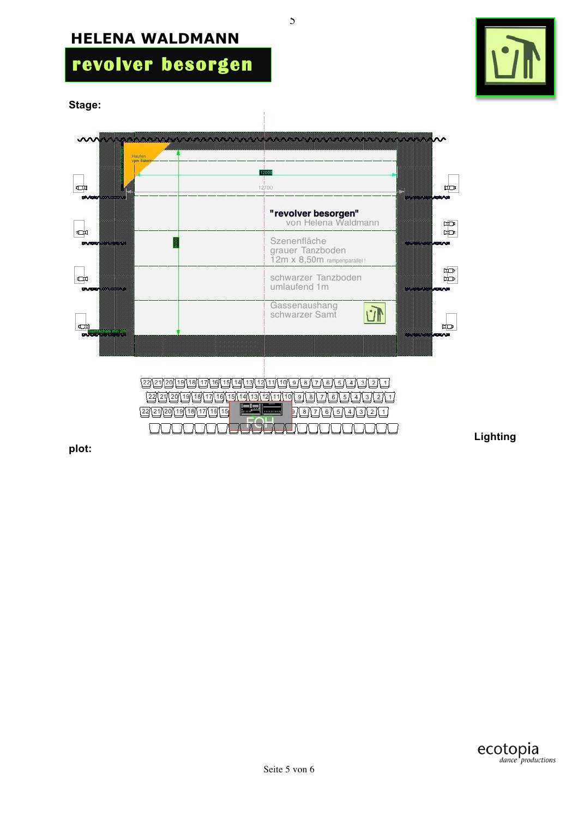# **revolver besorgen**

**Stage:**



**Lighting** 

**plot:** 



5